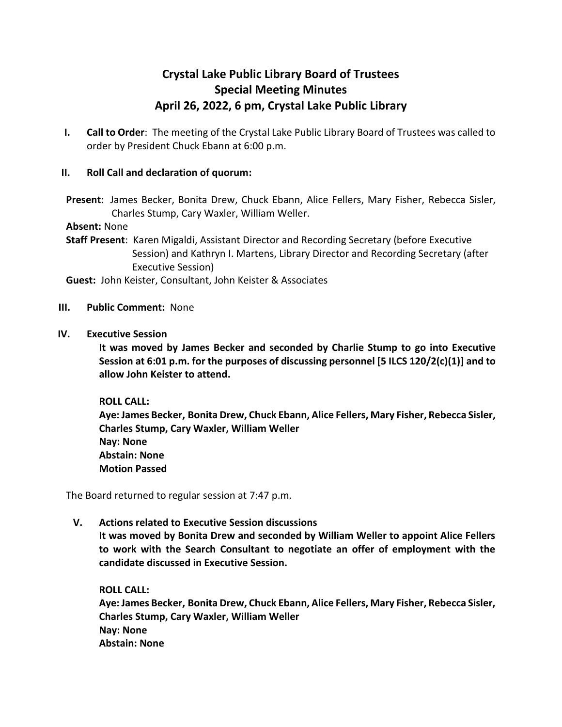# **Crystal Lake Public Library Board of Trustees Special Meeting Minutes April 26, 2022, 6 pm, Crystal Lake Public Library**

**I. Call to Order**: The meeting of the Crystal Lake Public Library Board of Trustees was called to order by President Chuck Ebann at 6:00 p.m.

## **II. Roll Call and declaration of quorum:**

**Present**: James Becker, Bonita Drew, Chuck Ebann, Alice Fellers, Mary Fisher, Rebecca Sisler, Charles Stump, Cary Waxler, William Weller.

#### **Absent:** None

**Staff Present**: Karen Migaldi, Assistant Director and Recording Secretary (before Executive Session) and Kathryn I. Martens, Library Director and Recording Secretary (after Executive Session)

**Guest:** John Keister, Consultant, John Keister & Associates

#### **III. Public Comment:** None

**IV. Executive Session** 

**It was moved by James Becker and seconded by Charlie Stump to go into Executive Session at 6:01 p.m. for the purposes of discussing personnel [5 ILCS 120/2(c)(1)] and to allow John Keister to attend.**

### **ROLL CALL:**

**Aye: James Becker, Bonita Drew, Chuck Ebann, Alice Fellers, Mary Fisher, Rebecca Sisler, Charles Stump, Cary Waxler, William Weller Nay: None Abstain: None Motion Passed**

The Board returned to regular session at 7:47 p.m.

# **V. Actions related to Executive Session discussions**

**It was moved by Bonita Drew and seconded by William Weller to appoint Alice Fellers to work with the Search Consultant to negotiate an offer of employment with the candidate discussed in Executive Session.**

**ROLL CALL: Aye: James Becker, Bonita Drew, Chuck Ebann, Alice Fellers, Mary Fisher, Rebecca Sisler, Charles Stump, Cary Waxler, William Weller Nay: None Abstain: None**